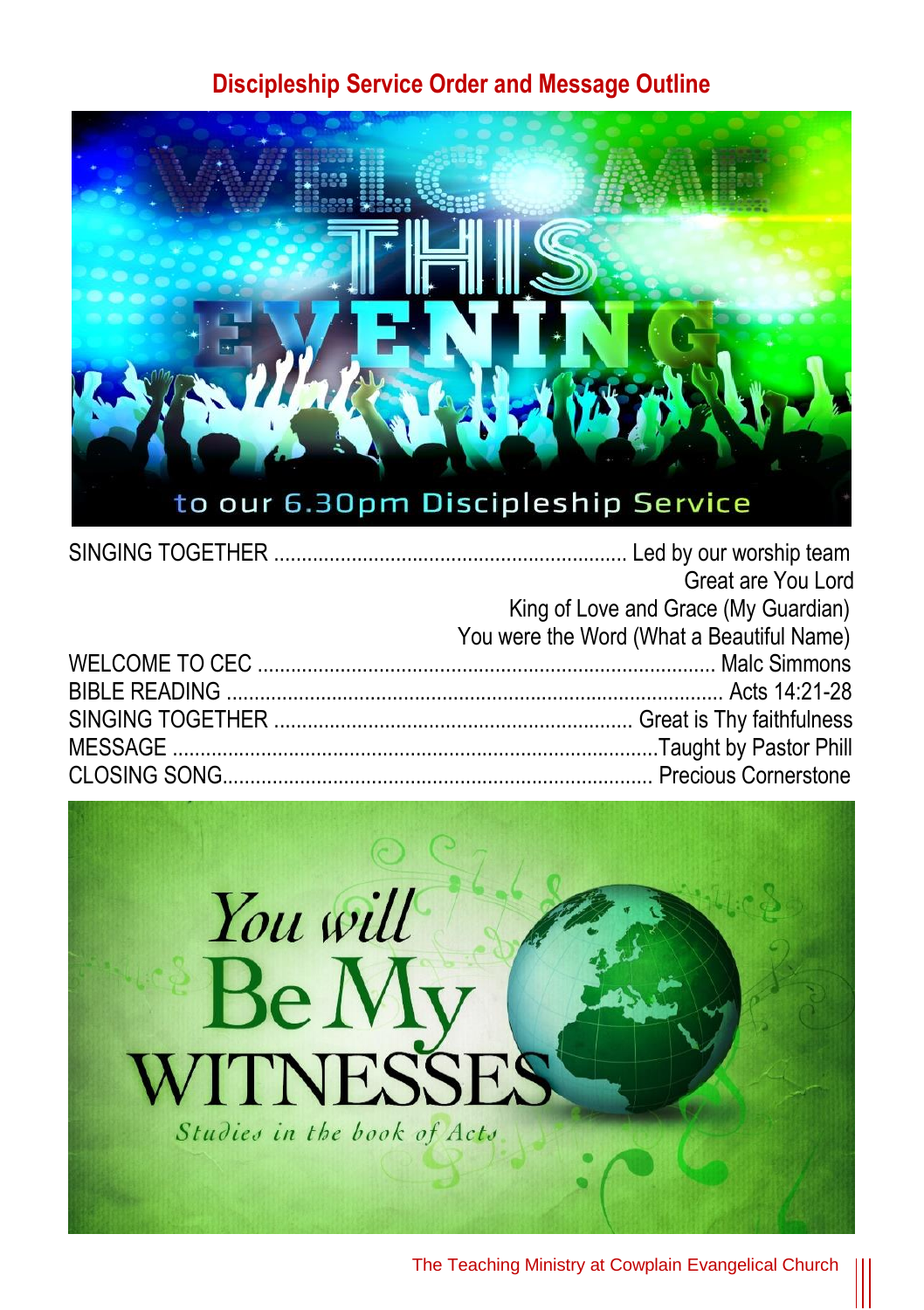#### **Discipleship Service Order and Message Outline**



| Great are You Lord                        |
|-------------------------------------------|
| King of Love and Grace (My Guardian)      |
| You were the Word (What a Beautiful Name) |
|                                           |
|                                           |
|                                           |
|                                           |
|                                           |



The Teaching Ministry at Cowplain Evangelical Church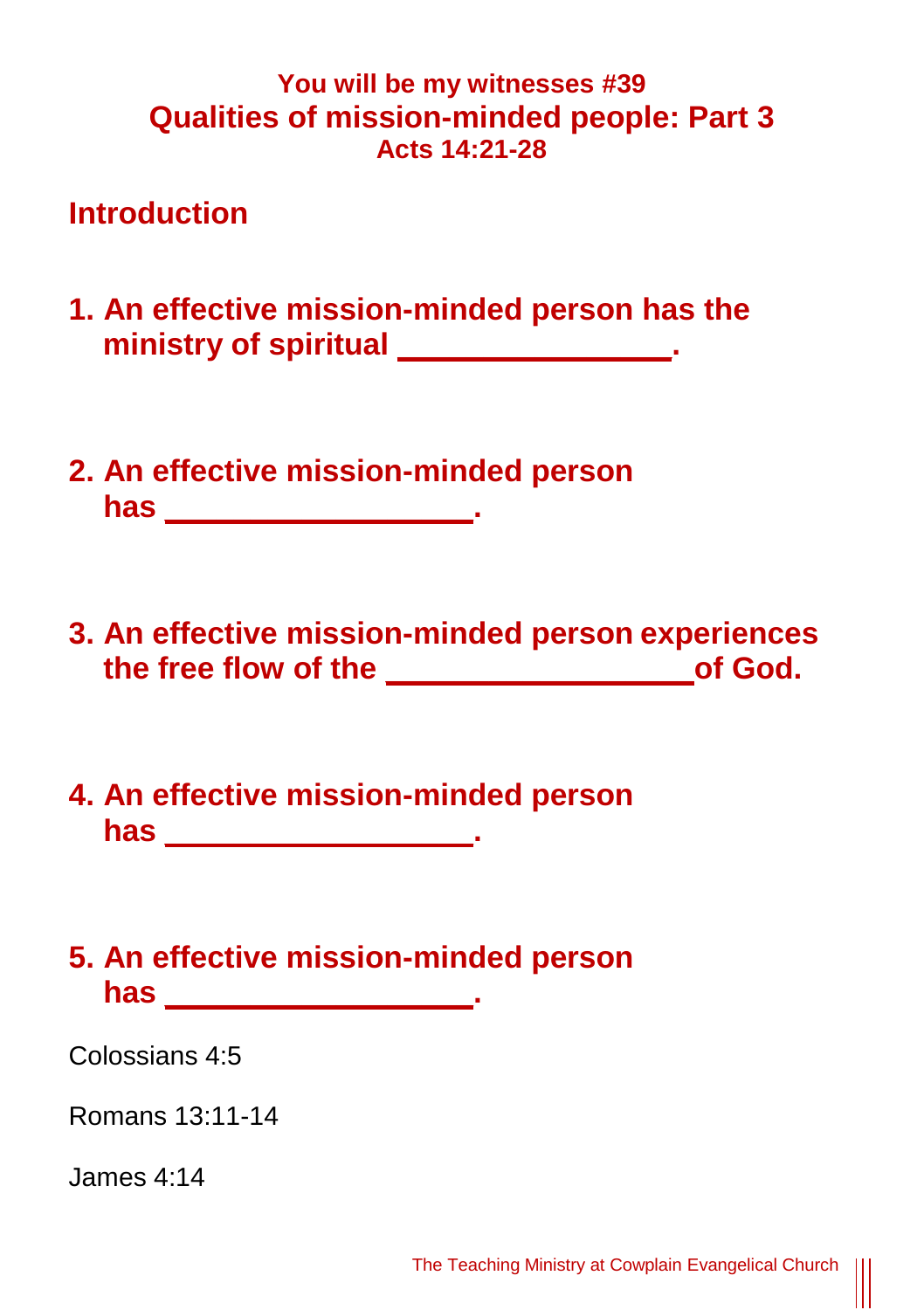#### **You will be my witnesses #39 Qualities of mission-minded people: Part 3 Acts 14:21-28**

### **Introduction**

- **1. An effective mission-minded person has the**  ministry of spiritual \_\_\_\_\_\_\_\_\_\_\_\_\_\_\_\_\_\_.
- **2. An effective mission-minded person has \_\_\_\_\_\_\_\_\_\_\_\_\_\_\_\_\_\_.**
- **3. An effective mission-minded person experiences the free flow of the \_\_\_\_\_\_\_\_\_\_\_\_\_\_\_\_\_\_of God.**
- **4. An effective mission-minded person has \_\_\_\_\_\_\_\_\_\_\_\_\_\_\_\_\_\_.**

## **5. An effective mission-minded person has \_\_\_\_\_\_\_\_\_\_\_\_\_\_\_\_\_\_.**

Colossians 4:5

Romans 13:11-14

James 4:14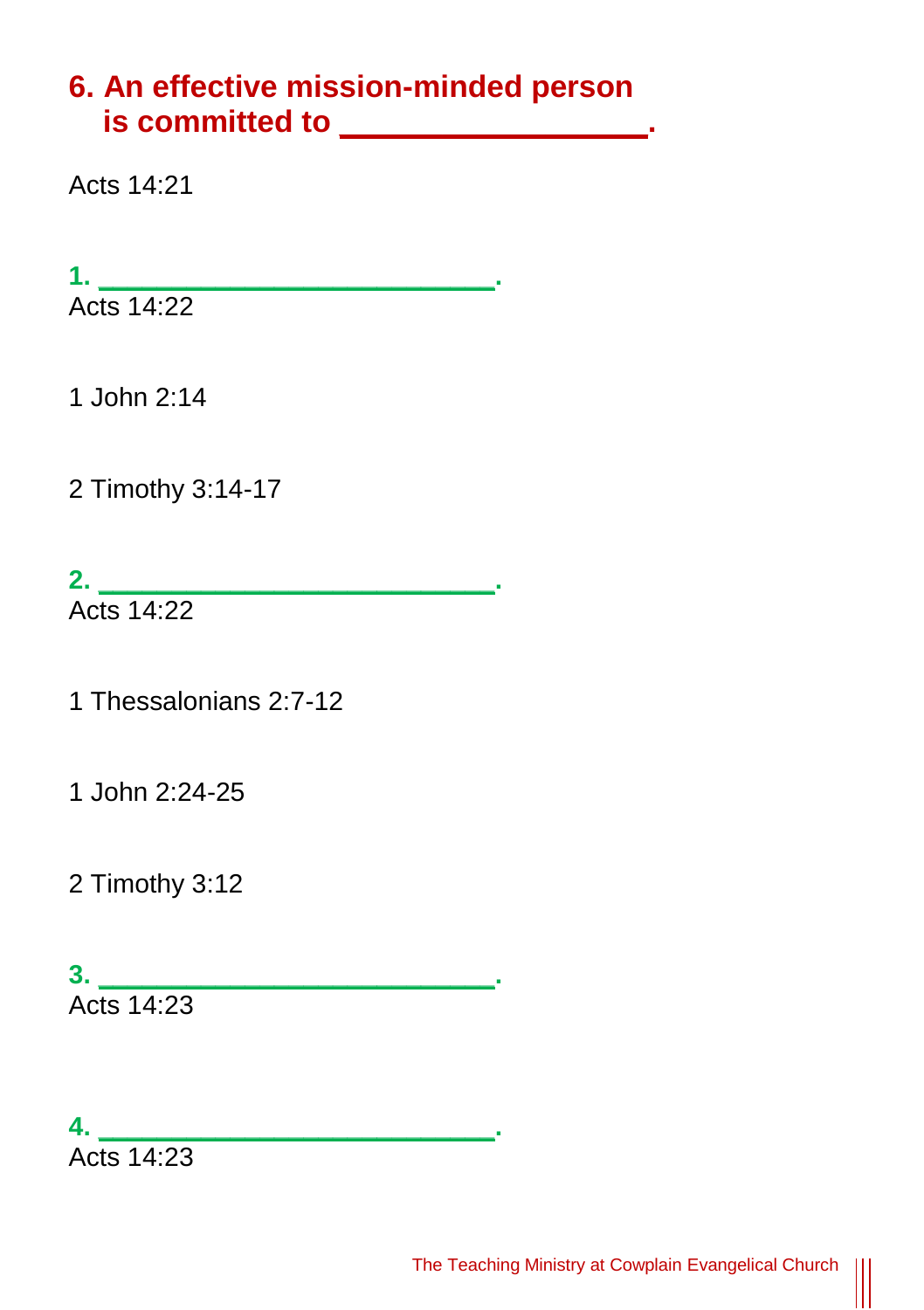## **6. An effective mission-minded person is committed to \_\_\_\_\_\_\_\_\_\_\_\_\_\_\_\_\_\_.**

Acts 14:21

**1. \_\_\_\_\_\_\_\_\_\_\_\_\_\_\_\_\_\_\_\_\_\_\_\_\_\_\_.**

Acts 14:22

1 John 2:14

2 Timothy 3:14-17

**2. \_\_\_\_\_\_\_\_\_\_\_\_\_\_\_\_\_\_\_\_\_\_\_\_\_\_\_.** Acts 14:22

1 Thessalonians 2:7-12

1 John 2:24-25

2 Timothy 3:12

**3. \_\_\_\_\_\_\_\_\_\_\_\_\_\_\_\_\_\_\_\_\_\_\_\_\_\_\_.** Acts 14:23

**4. \_\_\_\_\_\_\_\_\_\_\_\_\_\_\_\_\_\_\_\_\_\_\_\_\_\_\_.** Acts 14:23

|||